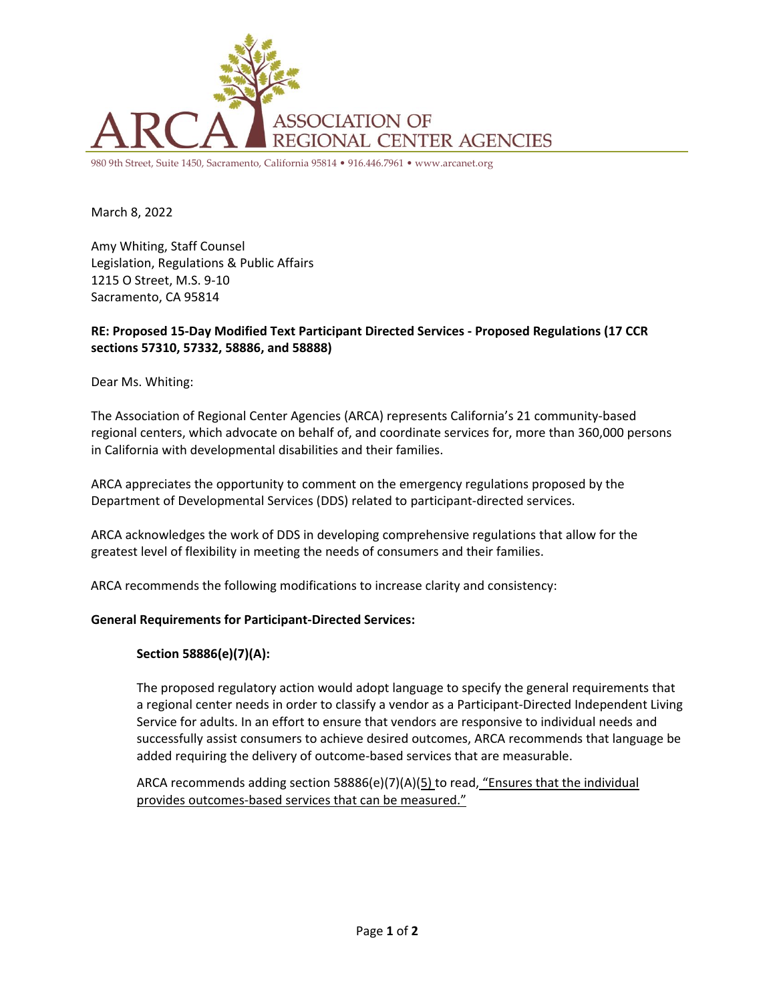

980 9th Street, Suite 1450, Sacramento, California 95814 • 916.446.7961 • www.arcanet.org

March 8, 2022

Amy Whiting, Staff Counsel Legislation, Regulations & Public Affairs 1215 O Street, M.S. 9-10 Sacramento, CA 95814

## **RE: Proposed 15-Day Modified Text Participant Directed Services - Proposed Regulations (17 CCR sections 57310, 57332, 58886, and 58888)**

Dear Ms. Whiting:

The Association of Regional Center Agencies (ARCA) represents California's 21 community-based regional centers, which advocate on behalf of, and coordinate services for, more than 360,000 persons in California with developmental disabilities and their families.

ARCA appreciates the opportunity to comment on the emergency regulations proposed by the Department of Developmental Services (DDS) related to participant-directed services.

ARCA acknowledges the work of DDS in developing comprehensive regulations that allow for the greatest level of flexibility in meeting the needs of consumers and their families.

ARCA recommends the following modifications to increase clarity and consistency:

#### **General Requirements for Participant-Directed Services:**

#### **Section 58886(e)(7)(A):**

The proposed regulatory action would adopt language to specify the general requirements that a regional center needs in order to classify a vendor as a Participant-Directed Independent Living Service for adults. In an effort to ensure that vendors are responsive to individual needs and successfully assist consumers to achieve desired outcomes, ARCA recommends that language be added requiring the delivery of outcome-based services that are measurable.

ARCA recommends adding section 58886(e)(7)(A)( $\frac{5}{2}$ ) to read, "Ensures that the individual provides outcomes-based services that can be measured."